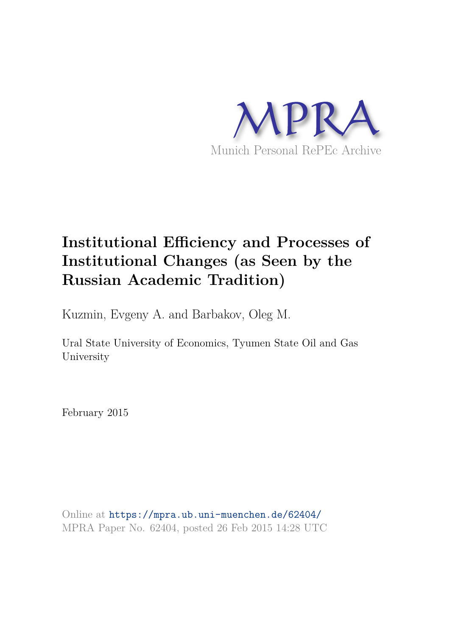

# **Institutional Efficiency and Processes of Institutional Changes (as Seen by the Russian Academic Tradition)**

Kuzmin, Evgeny A. and Barbakov, Oleg M.

Ural State University of Economics, Tyumen State Oil and Gas University

February 2015

Online at https://mpra.ub.uni-muenchen.de/62404/ MPRA Paper No. 62404, posted 26 Feb 2015 14:28 UTC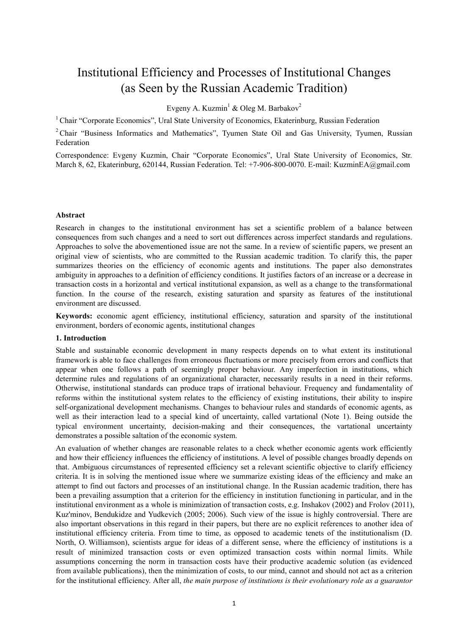# Institutional Efficiency and Processes of Institutional Changes (as Seen by the Russian Academic Tradition)

Evgeny A. Kuzmin<sup>1</sup> & Oleg M. Barbakov<sup>2</sup>

<sup>1</sup> Chair "Corporate Economics", Ural State University of Economics, Ekaterinburg, Russian Federation

<sup>2</sup>Chair "Business Informatics and Mathematics", Tyumen State Oil and Gas University, Tyumen, Russian Federation

Correspondence: Evgeny Kuzmin, Chair "Corporate Economics", Ural State University of Economics, Str. March 8, 62, Ekaterinburg, 620144, Russian Federation. Tel: +7-906-800-0070. E-mail: KuzminEA@gmail.com

#### **Abstract**

Research in changes to the institutional environment has set a scientific problem of a balance between consequences from such changes and a need to sort out differences across imperfect standards and regulations. Approaches to solve the abovementioned issue are not the same. In a review of scientific papers, we present an original view of scientists, who are committed to the Russian academic tradition. To clarify this, the paper summarizes theories on the efficiency of economic agents and institutions. The paper also demonstrates ambiguity in approaches to a definition of efficiency conditions. It justifies factors of an increase or a decrease in transaction costs in a horizontal and vertical institutional expansion, as well as a change to the transformational function. In the course of the research, existing saturation and sparsity as features of the institutional environment are discussed.

**Keywords:** economic agent efficiency, institutional efficiency, saturation and sparsity of the institutional environment, borders of economic agents, institutional changes

# **1. Introduction**

Stable and sustainable economic development in many respects depends on to what extent its institutional framework is able to face challenges from erroneous fluctuations or more precisely from errors and conflicts that appear when one follows a path of seemingly proper behaviour. Any imperfection in institutions, which determine rules and regulations of an organizational character, necessarily results in a need in their reforms. Otherwise, institutional standards can produce traps of irrational behaviour. Frequency and fundamentality of reforms within the institutional system relates to the efficiency of existing institutions, their ability to inspire self-organizational development mechanisms. Changes to behaviour rules and standards of economic agents, as well as their interaction lead to a special kind of uncertainty, called vartational (Note 1). Being outside the typical environment uncertainty, decision-making and their consequences, the vartational uncertainty demonstrates a possible saltation of the economic system.

An evaluation of whether changes are reasonable relates to a check whether economic agents work efficiently and how their efficiency influences the efficiency of institutions. A level of possible changes broadly depends on that. Ambiguous circumstances of represented efficiency set a relevant scientific objective to clarify efficiency criteria. It is in solving the mentioned issue where we summarize existing ideas of the efficiency and make an attempt to find out factors and processes of an institutional change. In the Russian academic tradition, there has been a prevailing assumption that a criterion for the efficiency in institution functioning in particular, and in the institutional environment as a whole is minimization of transaction costs, e.g. Inshakov (2002) and Frolov (2011), Kuz'minov, Bendukidze and Yudkevich (2005; 2006). Such view of the issue is highly controversial. There are also important observations in this regard in their papers, but there are no explicit references to another idea of institutional efficiency criteria. From time to time, as opposed to academic tenets of the institutionalism (D. North, O. Williamson), scientists argue for ideas of a different sense, where the efficiency of institutions is a result of minimized transaction costs or even optimized transaction costs within normal limits. While assumptions concerning the norm in transaction costs have their productive academic solution (as evidenced from available publications), then the minimization of costs, to our mind, cannot and should not act as a criterion for the institutional efficiency. After all, *the main purpose of institutions is their evolutionary role as a guarantor*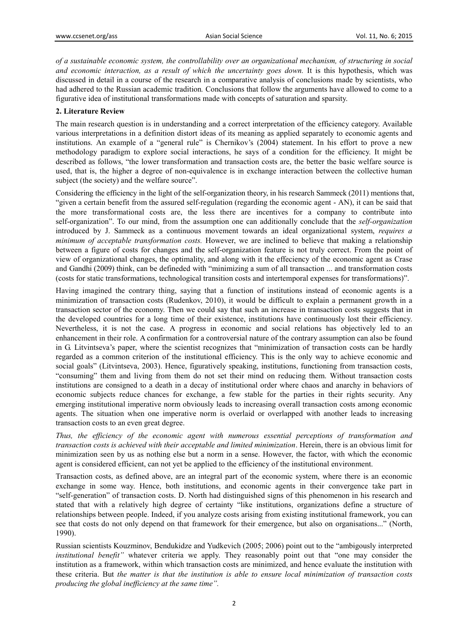*of a sustainable economic system, the controllability over an organizational mechanism, of structuring in social and economic interaction, as a result of which the uncertainty goes down.* It is this hypothesis, which was discussed in detail in a course of the research in a comparative analysis of conclusions made by scientists, who had adhered to the Russian academic tradition*.* Conclusions that follow the arguments have allowed to come to a figurative idea of institutional transformations made with concepts of saturation and sparsity.

# **2. Literature Review**

The main research question is in understanding and a correct interpretation of the efficiency category. Available various interpretations in a definition distort ideas of its meaning as applied separately to economic agents and institutions. An example of a "general rule" is Chernikov's (2004) statement. In his effort to prove a new methodology paradigm to explore social interactions, he says of a condition for the efficiency. It might be described as follows, "the lower transformation and transaction costs are, the better the basic welfare source is used, that is, the higher a degree of non-equivalence is in exchange interaction between the collective human subject (the society) and the welfare source".

Considering the efficiency in the light of the self-organization theory, in his research Sammeck (2011) mentions that, "given a certain benefit from the assured self-regulation (regarding the economic agent - AN), it can be said that the more transformational costs are, the less there are incentives for a company to contribute into self-organization". To our mind, from the assumption one can additionally conclude that the *self-organization* introduced by J. Sammeck as a continuous movement towards an ideal organizational system, *requires a minimum of acceptable transformation costs.* However, we are inclined to believe that making a relationship between a figure of costs for changes and the self-organization feature is not truly correct. From the point of view of organizational changes, the optimality, and along with it the effeciency of the economic agent as Crase and Gandhi (2009) think, can be defineded with "minimizing a sum of all transaction ... and transformation costs (costs for static transformations, technological transition costs and intertemporal expenses for transformations)".

Having imagined the contrary thing, saying that a function of institutions instead of economic agents is a minimization of transaction costs (Rudenkov, 2010), it would be difficult to explain a permanent growth in a transaction sector of the economy. Then we could say that such an increase in transaction costs suggests that in the developed countries for a long time of their existence, institutions have continuously lost their efficiency. Nevertheless, it is not the case. A progress in economic and social relations has objectively led to an enhancement in their role. A confirmation for a controversial nature of the contrary assumption can also be found in G. Litvintseva's paper, where the scientist recognizes that "minimization of transaction costs can be hardly regarded as a common criterion of the institutional efficiency. This is the only way to achieve economic and social goals" (Litvintseva, 2003). Hence, figuratively speaking, institutions, functioning from transaction costs, "consuming" them and living from them do not set their mind on reducing them. Without transaction costs institutions are consigned to a death in a decay of institutional order where chaos and anarchy in behaviors of economic subjects reduce chances for exchange, a few stable for the parties in their rights security. Any emerging institutional imperative norm obviously leads to increasing overall transaction costs among economic agents. The situation when one imperative norm is overlaid or overlapped with another leads to increasing transaction costs to an even great degree.

*Thus, the efficiency of the economic agent with numerous essential perceptions of transformation and transaction costs is achieved with their acceptable and limited minimization*. Herein, there is an obvious limit for minimization seen by us as nothing else but a norm in a sense. However, the factor, with which the economic agent is considered efficient, can not yet be applied to the efficiency of the institutional environment.

Transaction costs, as defined above, are an integral part of the economic system, where there is an economic exchange in some way. Hence, both institutions, and economic agents in their convergence take part in "self-generation" of transaction costs. D. North had distinguished signs of this phenomenon in his research and stated that with a relatively high degree of certainty "like institutions, organizations define a structure of relationships between people. Indeed, if you analyze costs arising from existing institutional framework, you can see that costs do not only depend on that framework for their emergence, but also on organisations..." (North, 1990).

Russian scientists Kouzminov, Bendukidze and Yudkevich (2005; 2006) point out to the "ambigously interpreted *institutional benefit*" whatever criteria we apply. They reasonably point out that "one may consider the institution as a framework, within which transaction costs are minimized, and hence evaluate the institution with these criteria. But *the matter is that the institution is able to ensure local minimization of transaction costs producing the global inefficiency at the same time".*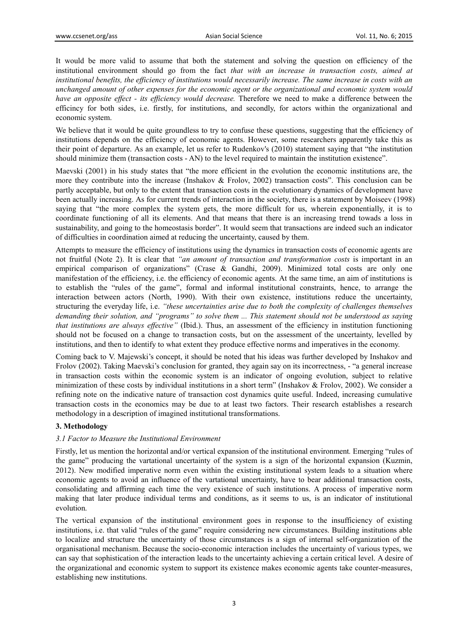It would be more valid to assume that both the statement and solving the question on efficiency of the institutional environment should go from the fact *that with an increase in transaction costs, aimed at institutional benefits, the efficiency of institutions would necessarily increase. The same increase in costs with an unchanged amount of other expenses for the economic agent or the organizational and economic system would have an opposite effect - its efficiency would decrease.* Therefore we need to make a difference between the efficincy for both sides, i.e. firstly, for institutions, and secondly, for actors within the organizational and economic system.

We believe that it would be quite groundless to try to confuse these questions, suggesting that the efficiency of institutions depends on the efficiency of economic agents. However, some researchers apparently take this as their point of departure. As an example, let us refer to Rudenkov's (2010) statement saying that "the institution should minimize them (transaction costs - AN) to the level required to maintain the institution existence".

Maevski (2001) in his study states that "the more efficient in the evolution the economic institutions are, the more they contribute into the increase (Inshakov & Frolov, 2002) transaction costs". This conclusion can be partly acceptable, but only to the extent that transaction costs in the evolutionary dynamics of development have been actually increasing. As for current trends of interaction in the society, there is a statement by Moiseev (1998) saying that "the more complex the system gets, the more difficult for us, wherein exponentially, it is to coordinate functioning of all its elements. And that means that there is an increasing trend towads a loss in sustainability, and going to the homeostasis border". It would seem that transactions are indeed such an indicator of difficulties in coordination aimed at reducing the uncertainty, caused by them.

Attempts to measure the efficiency of institutions using the dynamics in transaction costs of economic agents are not fruitful (Note 2). It is clear that *"an amount of transaction and transformation costs* is important in an empirical comparison of organizations" (Crase & Gandhi, 2009). Minimized total costs are only one manifestation of the efficiency, i.e. the efficiency of economic agents. At the same time, an aim of institutions is to establish the "rules of the game", formal and informal institutional constraints, hence, to arrange the interaction between actors (North, 1990). With their own existence, institutions reduce the uncertainty, structuring the everyday life, i.e. *"these uncertainties arise due to both the complexity of challenges themselves demanding their solution, and "programs" to solve them ... This statement should not be understood as saying that institutions are always effective"* (Ibid.). Thus, an assessment of the efficiency in institution functioning should not be focused on a change to transaction costs, but on the assessment of the uncertainty, levelled by institutions, and then to identify to what extent they produce effective norms and imperatives in the economy.

Coming back to V. Majewski's concept, it should be noted that his ideas was further developed by Inshakov and Frolov (2002). Taking Maevski's conclusion for granted, they again say on its incorrectness, - "a general increase in transaction costs within the economic system is an indicator of ongoing evolution, subject to relative minimization of these costs by individual institutions in a short term" (Inshakov & Frolov, 2002). We consider a refining note on the indicative nature of transaction cost dynamics quite useful. Indeed, increasing cumulative transaction costs in the economics may be due to at least two factors. Their research establishes a research methodology in a description of imagined institutional transformations.

# **3. Methodology**

## *3.1 Factor to Measure the Institutional Environment*

Firstly, let us mention the horizontal and/or vertical expansion of the institutional environment*.* Emerging "rules of the game" producing the vartational uncertainty of the system is a sign of the horizontal expansion (Kuzmin, 2012). New modified imperative norm even within the existing institutional system leads to a situation where economic agents to avoid an influence of the vartational uncertainty, have to bear additional transaction costs, consolidating and affirming each time the very existence of such institutions. A process of imperative norm making that later produce individual terms and conditions, as it seems to us, is an indicator of institutional evolution.

The vertical expansion of the institutional environment goes in response to the insufficiency of existing institutions, i.e. that valid "rules of the game" require considering new circumstances. Building institutions able to localize and structure the uncertainty of those circumstances is a sign of internal self-organization of the organisational mechanism. Because the socio-economic interaction includes the uncertainty of various types, we can say that sophistication of the interaction leads to the uncertainty achieving a certain critical level. A desire of the organizational and economic system to support its existence makes economic agents take counter-measures, establishing new institutions.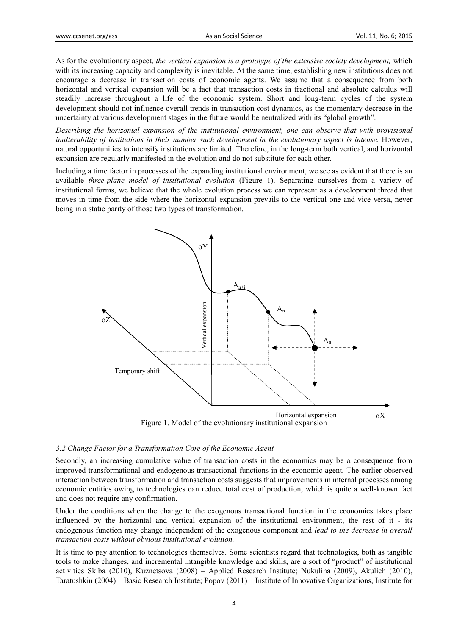As for the evolutionary aspect, *the vertical expansion is a prototype of the extensive society development,* which with its increasing capacity and complexity is inevitable. At the same time, establishing new institutions does not encourage a decrease in transaction costs of economic agents. We assume that a consequence from both horizontal and vertical expansion will be a fact that transaction costs in fractional and absolute calculus will steadily increase throughout a life of the economic system. Short and long-term cycles of the system development should not influence overall trends in transaction cost dynamics, as the momentary decrease in the uncertainty at various development stages in the future would be neutralized with its "global growth".

*Describing the horizontal expansion of the institutional environment, one can observe that with provisional inalterability of institutions in their number such development in the evolutionary aspect is intense.* However, natural opportunities to intensify institutions are limited. Therefore, in the long-term both vertical, and horizontal expansion are regularly manifested in the evolution and do not substitute for each other.

Including a time factor in processes of the expanding institutional environment, we see as evident that there is an available *three-plane model of institutional evolution* (Figure 1). Separating ourselves from a variety of institutional forms, we believe that the whole evolution process we can represent as a development thread that moves in time from the side where the horizontal expansion prevails to the vertical one and vice versa, never being in a static parity of those two types of transformation.



#### *3.2 Change Factor for a Transformation Core of the Economic Agent*

Secondly, an increasing cumulative value of transaction costs in the economics may be a consequence from improved transformational and endogenous transactional functions in the economic agent*.* The earlier observed interaction between transformation and transaction costs suggests that improvements in internal processes among economic entities owing to technologies can reduce total cost of production, which is quite a well-known fact and does not require any confirmation.

Under the conditions when the change to the exogenous transactional function in the economics takes place influenced by the horizontal and vertical expansion of the institutional environment, the rest of it - its endogenous function may change independent of the exogenous component and *lead to the decrease in overall transaction costs without obvious institutional evolution.*

It is time to pay attention to technologies themselves. Some scientists regard that technologies, both as tangible tools to make changes, and incremental intangible knowledge and skills, are a sort of "product" of institutional activities Skiba (2010), Kuznetsova (2008) – Applied Research Institute; Nukulina (2009), Akulich (2010), Taratushkin (2004) – Basic Research Institute; Popov (2011) – Institute of Innovative Organizations, Institute for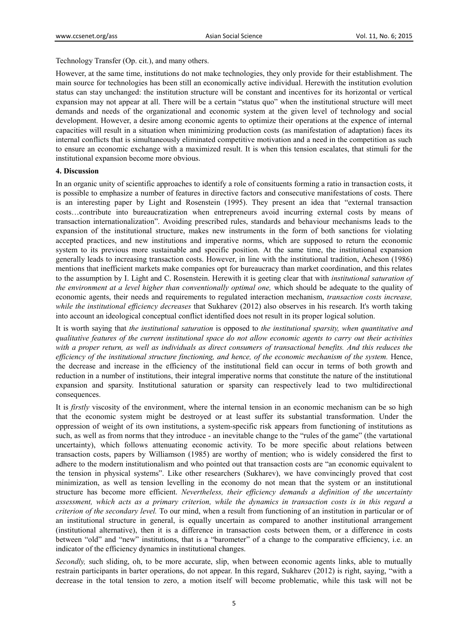Technology Transfer (Op. cit.), and many others.

However, at the same time, institutions do not make technologies, they only provide for their establishment. The main source for technologies has been still an economically active individual. Herewith the institution evolution status can stay unchanged: the institution structure will be constant and incentives for its horizontal or vertical expansion may not appear at all. There will be a certain "status quo" when the institutional structure will meet demands and needs of the organizational and economic system at the given level of technology and social development. However, a desire among economic agents to optimize their operations at the expence of internal capacities will result in a situation when minimizing production costs (as manifestation of adaptation) faces its internal conflicts that is simultaneously eliminated competitive motivation and a need in the competition as such to ensure an economic exchange with a maximized result. It is when this tension escalates, that stimuli for the institutional expansion become more obvious.

#### **4. Discussion**

In an organic unity of scientific approaches to identify a role of consituents forming a ratio in transaction costs, it is possible to emphasize a number of features in directive factors and consecutive manifestations of costs. There is an interesting paper by Light and Rosenstein (1995). They present an idea that "external transaction costs…contribute into bureaucratization when entrepreneurs avoid incurring external costs by means of transaction internationalization". Avoiding prescribed rules, standards and behaviour mechanisms leads to the expansion of the institutional structure, makes new instruments in the form of both sanctions for violating accepted practices, and new institutions and imperative norms, which are supposed to return the economic system to its previous more sustainable and specific position. At the same time, the institutional expansion generally leads to increasing transaction costs. However, in line with the institutional tradition, Acheson (1986) mentions that inefficient markets make companies opt for bureaucracy than market coordination, and this relates to the assumption by I. Light and C. Rosenstein. Herewith it is geeting clear that with *institutional saturation of the environment at a level higher than conventionally optimal one,* which should be adequate to the quality of economic agents, their needs and requirements to regulated interaction mechanism, *transaction costs increase, while the institutional efficiency decreases* that Sukharev (2012) also observes in his research. It's worth taking into account an ideological conceptual conflict identified does not result in its proper logical solution.

It is worth saying that *the institutional saturation* is opposed to *the institutional sparsity, when quantitative and qualitative features of the current institutional space do not allow economic agents to carry out their activities with a proper return, as well as individuals as direct consumers of transactional benefits. And this reduces the efficiency of the institutional structure finctioning, and hence, of the economic mechanism of the system.* Hence, the decrease and increase in the efficiency of the institutional field can occur in terms of both growth and reduction in a number of institutions, their integral imperative norms that constitute the nature of the institutional expansion and sparsity. Institutional saturation or sparsity can respectively lead to two multidirectional consequences.

It is *firstly* viscosity of the environment, where the internal tension in an economic mechanism can be so high that the economic system might be destroyed or at least suffer its substantial transformation. Under the oppression of weight of its own institutions, a system-specific risk appears from functioning of institutions as such, as well as from norms that they introduce - an inevitable change to the "rules of the game" (the vartational uncertainty), which follows attenuating economic activity. To be more specific about relations between transaction costs, papers by Williamson (1985) are worthy of mention; who is widely considered the first to adhere to the modern institutionalism and who pointed out that transaction costs are "an economic equivalent to the tension in physical systems". Like other researchers (Sukharev), we have convincingly proved that cost minimization, as well as tension levelling in the economy do not mean that the system or an institutional structure has become more efficient. *Nevertheless, their efficiency demands a definition of the uncertainty assessment, which acts as a primary criterion, while the dynamics in transaction costs is in this regard a criterion of the secondary level.* To our mind, when a result from functioning of an institution in particular or of an institutional structure in general, is equally uncertain as compared to another institutional arrangement (institutional alternative), then it is a difference in transaction costs between them, or a difference in costs between "old" and "new" institutions, that is a "barometer" of a change to the comparative efficiency, i.e. an indicator of the efficiency dynamics in institutional changes.

*Secondly,* such sliding, oh, to be more accurate, slip, when between economic agents links, able to mutually restrain participants in barter operations, do not appear. In this regard, Sukharev (2012) is right, saying, "with a decrease in the total tension to zero, a motion itself will become problematic, while this task will not be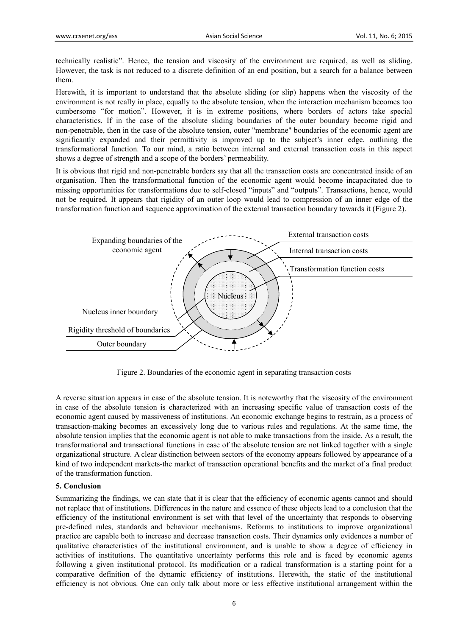technically realistic". Hence, the tension and viscosity of the environment are required, as well as sliding. However, the task is not reduced to a discrete definition of an end position, but a search for a balance between them.

Herewith, it is important to understand that the absolute sliding (or slip) happens when the viscosity of the environment is not really in place, equally to the absolute tension, when the interaction mechanism becomes too cumbersome "for motion". However, it is in extreme positions, where borders of actors take special characteristics. If in the case of the absolute sliding boundaries of the outer boundary become rigid and non-penetrable, then in the case of the absolute tension, outer "membrane" boundaries of the economic agent are significantly expanded and their permittivity is improved up to the subject's inner edge, outlining the transformational function. To our mind, a ratio between internal and external transaction costs in this aspect shows a degree of strength and a scope of the borders' permeability.

It is obvious that rigid and non-penetrable borders say that all the transaction costs are concentrated inside of an organisation. Then the transformational function of the economic agent would become incapacitated due to missing opportunities for transformations due to self-closed "inputs" and "outputs". Transactions, hence, would not be required. It appears that rigidity of an outer loop would lead to compression of an inner edge of the transformation function and sequence approximation of the external transaction boundary towards it (Figure 2).



Figure 2. Boundaries of the economic agent in separating transaction costs

A reverse situation appears in case of the absolute tension. It is noteworthy that the viscosity of the environment in case of the absolute tension is characterized with an increasing specific value of transaction costs of the economic agent caused by massiveness of institutions. An economic exchange begins to restrain, as a process of transaction-making becomes an excessively long due to various rules and regulations. At the same time, the absolute tension implies that the economic agent is not able to make transactions from the inside. As a result, the transformational and transactional functions in case of the absolute tension are not linked together with a single organizational structure. A clear distinction between sectors of the economy appears followed by appearance of a kind of two independent markets-the market of transaction operational benefits and the market of a final product of the transformation function.

#### **5. Conclusion**

Summarizing the findings, we can state that it is clear that the efficiency of economic agents cannot and should not replace that of institutions. Differences in the nature and essence of these objects lead to a conclusion that the efficiency of the institutional environment is set with that level of the uncertainty that responds to observing pre-defined rules, standards and behaviour mechanisms. Reforms to institutions to improve organizational practice are capable both to increase and decrease transaction costs. Their dynamics only evidences a number of qualitative characteristics of the institutional environment, and is unable to show a degree of efficiency in activities of institutions. The quantitative uncertainty performs this role and is faced by economic agents following a given institutional protocol. Its modification or a radical transformation is a starting point for a comparative definition of the dynamic efficiency of institutions. Herewith, the static of the institutional efficiency is not obvious. One can only talk about more or less effective institutional arrangement within the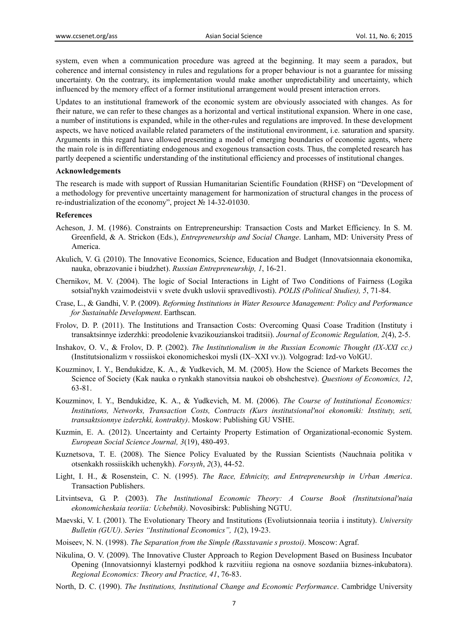system, even when a communication procedure was agreed at the beginning. It may seem a paradox, but coherence and internal consistency in rules and regulations for a proper behaviour is not a guarantee for missing uncertainty. On the contrary, its implementation would make another unpredictability and uncertainty, which influenced by the memory effect of a former institutional arrangement would present interaction errors.

Updates to an institutional framework of the economic system are obviously associated with changes. As for fheir nature, we can refer to these changes as a horizontal and vertical institutional expansion. Where in one case, a number of institutions is expanded, while in the other-rules and regulations are improved. In these development aspects, we have noticed available related parameters of the institutional environment, i.e. saturation and sparsity. Arguments in this regard have allowed presenting a model of emerging boundaries of economic agents, where the main role is in differentiating endogenous and exogenous transaction costs. Thus, the completed research has partly deepened a scientific understanding of the institutional efficiency and processes of institutional changes.

#### **Acknowledgements**

The research is made with support of Russian Humanitarian Scientific Foundation (RHSF) on "Development of a methodology for preventive uncertainty management for harmonization of structural changes in the process of re-industrialization of the economy", project № 14-32-01030.

#### **References**

- Acheson, J. M. (1986). Constraints on Entrepreneurship: Transaction Costs and Market Efficiency. In S. M. Greenfield, & A. Strickon (Eds.), *Entrepreneurship and Social Change*. Lanham, MD: University Press of America.
- Akulich, V. G. (2010). The Innovative Economics, Science, Education and Budget (Innovatsionnaia ekonomika, nauka, obrazovanie i biudzhet). *Russian Entrepreneurship, 1*, 16-21.
- Chernikov, M. V. (2004). The logic of Social Interactions in Light of Two Conditions of Fairness (Logika sotsial'nykh vzaimodeistvii v svete dvukh uslovii spravedlivosti). *POLIS (Political Studies), 5*, 71-84.
- Crase, L., & Gandhi, V. P. (2009). *Reforming Institutions in Water Resource Management: Policy and Performance for Sustainable Development*. Earthscan.
- Frolov, D. P. (2011). The Institutions and Transaction Costs: Overcoming Quasi Coase Tradition (Instituty i transaktsinnye izderzhki: preodolenie kvazikouzianskoi traditsii). *Journal of Economic Regulation, 2*(4), 2-5.
- Inshakov, O. V., & Frolov, D. P. (2002). *The Institutionalism in the Russian Economic Thought (IX-XXI cc.)*  (Institutsionalizm v rossiiskoi ekonomicheskoi mysli (IX–XXI vv.))*.* Volgograd: Izd-vo VolGU.
- Kouzminov, I. Y., Bendukidze, K. A., & Yudkevich, M. M. (2005). How the Science of Markets Becomes the Science of Society (Kak nauka o rynkakh stanovitsia naukoi ob obshchestve). *Questions of Economics, 12*, 63-81.
- Kouzminov, I. Y., Bendukidze, K. A., & Yudkevich, M. M. (2006). *The Course of Institutional Economics: Institutions, Networks, Transaction Costs, Contracts (Kurs institutsional'noi ekonomiki: Instituty, seti, transaktsionnye izderzhki, kontrakty)*. Moskow: Publishing GU VSHE.
- Kuzmin, E. A. (2012). Uncertainty and Certainty Property Estimation of Organizational-economic System. *European Social Science Journal, 3*(19), 480-493.
- Kuznetsova, T. E. (2008). The Sience Policy Evaluated by the Russian Scientists (Nauchnaia politika v otsenkakh rossiiskikh uchenykh). *Forsyth*, *2*(3), 44-52.
- Light, I. H., & Rosenstein, C. N. (1995). *The Race, Ethnicity, and Entrepreneurship in Urban America*. Transaction Publishers.
- Litvintseva, G. P. (2003). *The Institutional Economic Theory: A Course Book (Institutsional'naia ekonomicheskaia teoriia: Uchebnik)*. Novosibirsk: Publishing NGTU.
- Maevski, V. I. (2001). The Evolutionary Theory and Institutions (Evoliutsionnaia teoriia i instituty). *University Bulletin (GUU)*. *Series "Institutional Economics", 1*(2), 19-23.
- Moiseev, N. N. (1998). *The Separation from the Simple (Rasstavanie s prostoi)*. Moscow: Agraf.
- Nikulina, O. V. (2009). The Innovative Cluster Approach to Region Development Based on Business Incubator Opening (Innovatsionnyi klasternyi podkhod k razvitiiu regiona na osnove sozdaniia biznes-inkubatora). *Regional Economics: Theory and Practice, 41*, 76-83.
- North, D. C. (1990). *The Institutions, Institutional Change and Economic Performance*. Cambridge University